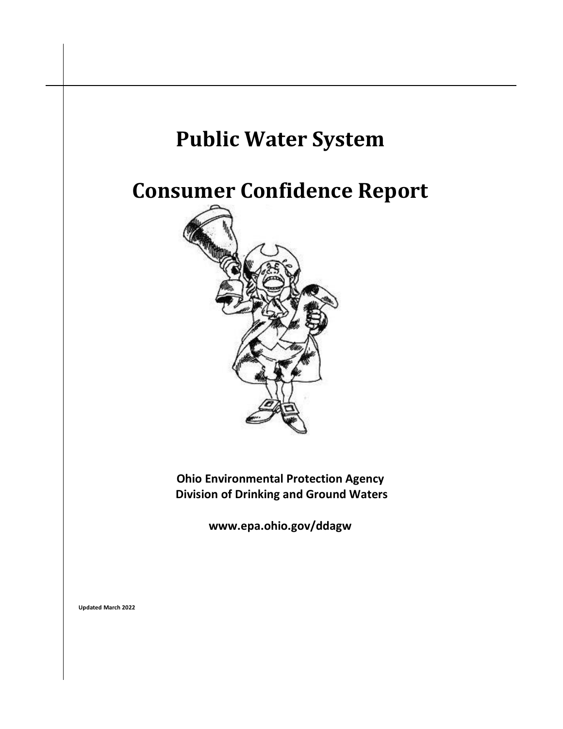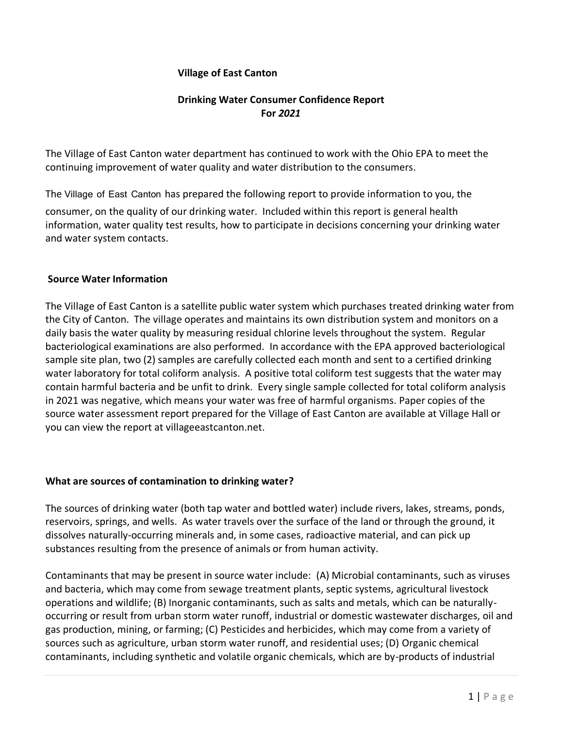### **Village of East Canton**

# **Drinking Water Consumer Confidence Report For** *2021*

The Village of East Canton water department has continued to work with the Ohio EPA to meet the continuing improvement of water quality and water distribution to the consumers.

The Village of East Canton has prepared the following report to provide information to you, the consumer, on the quality of our drinking water. Included within this report is general health information, water quality test results, how to participate in decisions concerning your drinking water and water system contacts.

### **Source Water Information**

The Village of East Canton is a satellite public water system which purchases treated drinking water from the City of Canton. The village operates and maintains its own distribution system and monitors on a daily basis the water quality by measuring residual chlorine levels throughout the system. Regular bacteriological examinations are also performed. In accordance with the EPA approved bacteriological sample site plan, two (2) samples are carefully collected each month and sent to a certified drinking water laboratory for total coliform analysis. A positive total coliform test suggests that the water may contain harmful bacteria and be unfit to drink. Every single sample collected for total coliform analysis in 2021 was negative, which means your water was free of harmful organisms. Paper copies of the source water assessment report prepared for the Village of East Canton are available at Village Hall or you can view the report at villageeastcanton.net.

### **What are sources of contamination to drinking water?**

The sources of drinking water (both tap water and bottled water) include rivers, lakes, streams, ponds, reservoirs, springs, and wells. As water travels over the surface of the land or through the ground, it dissolves naturally-occurring minerals and, in some cases, radioactive material, and can pick up substances resulting from the presence of animals or from human activity.

Contaminants that may be present in source water include: (A) Microbial contaminants, such as viruses and bacteria, which may come from sewage treatment plants, septic systems, agricultural livestock operations and wildlife; (B) Inorganic contaminants, such as salts and metals, which can be naturallyoccurring or result from urban storm water runoff, industrial or domestic wastewater discharges, oil and gas production, mining, or farming; (C) Pesticides and herbicides, which may come from a variety of sources such as agriculture, urban storm water runoff, and residential uses; (D) Organic chemical contaminants, including synthetic and volatile organic chemicals, which are by-products of industrial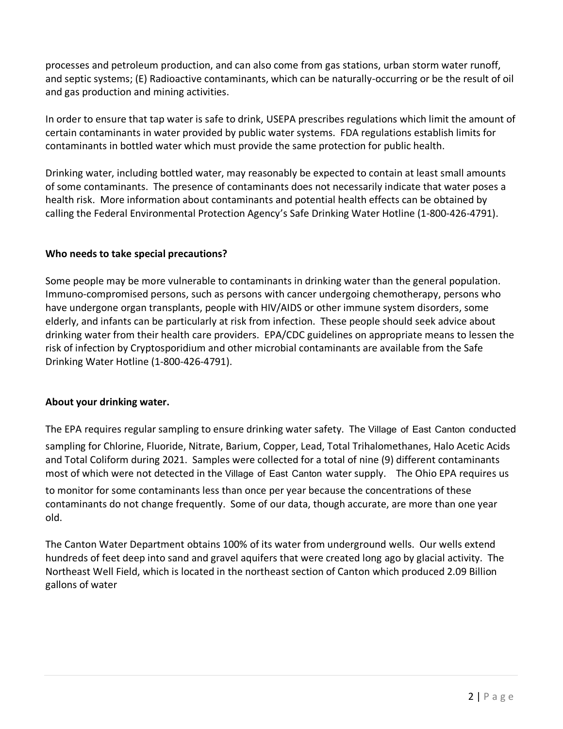processes and petroleum production, and can also come from gas stations, urban storm water runoff, and septic systems; (E) Radioactive contaminants, which can be naturally-occurring or be the result of oil and gas production and mining activities.

In order to ensure that tap water is safe to drink, USEPA prescribes regulations which limit the amount of certain contaminants in water provided by public water systems. FDA regulations establish limits for contaminants in bottled water which must provide the same protection for public health.

Drinking water, including bottled water, may reasonably be expected to contain at least small amounts of some contaminants. The presence of contaminants does not necessarily indicate that water poses a health risk. More information about contaminants and potential health effects can be obtained by calling the Federal Environmental Protection Agency's Safe Drinking Water Hotline (1-800-426-4791).

# **Who needs to take special precautions?**

Some people may be more vulnerable to contaminants in drinking water than the general population. Immuno-compromised persons, such as persons with cancer undergoing chemotherapy, persons who have undergone organ transplants, people with HIV/AIDS or other immune system disorders, some elderly, and infants can be particularly at risk from infection. These people should seek advice about drinking water from their health care providers. EPA/CDC guidelines on appropriate means to lessen the risk of infection by Cryptosporidium and other microbial contaminants are available from the Safe Drinking Water Hotline (1-800-426-4791).

# **About your drinking water.**

The EPA requires regular sampling to ensure drinking water safety. The Village of East Canton conducted sampling for Chlorine, Fluoride, Nitrate, Barium, Copper, Lead, Total Trihalomethanes, Halo Acetic Acids and Total Coliform during 2021. Samples were collected for a total of nine (9) different contaminants most of which were not detected in the Village of East Canton water supply. The Ohio EPA requires us

to monitor for some contaminants less than once per year because the concentrations of these contaminants do not change frequently. Some of our data, though accurate, are more than one year old.

The Canton Water Department obtains 100% of its water from underground wells. Our wells extend hundreds of feet deep into sand and gravel aquifers that were created long ago by glacial activity. The Northeast Well Field, which is located in the northeast section of Canton which produced 2.09 Billion gallons of water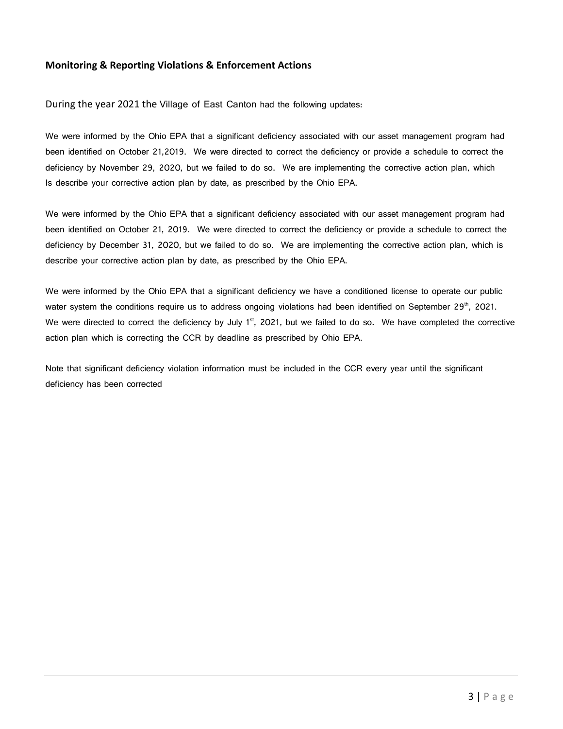#### **Monitoring & Reporting Violations & Enforcement Actions**

During the year 2021 the Village of East Canton had the following updates:

We were informed by the Ohio EPA that a significant deficiency associated with our asset management program had been identified on October 21,2019. We were directed to correct the deficiency or provide a schedule to correct the deficiency by November 29, 2020, but we failed to do so. We are implementing the corrective action plan, which Is describe your corrective action plan by date, as prescribed by the Ohio EPA.

We were informed by the Ohio EPA that a significant deficiency associated with our asset management program had been identified on October 21, 2019. We were directed to correct the deficiency or provide a schedule to correct the deficiency by December 31, 2020, but we failed to do so. We are implementing the corrective action plan, which is describe your corrective action plan by date, as prescribed by the Ohio EPA.

We were informed by the Ohio EPA that a significant deficiency we have a conditioned license to operate our public water system the conditions require us to address ongoing violations had been identified on September 29<sup>th</sup>, 2021. We were directed to correct the deficiency by July 1<sup>st</sup>, 2021, but we failed to do so. We have completed the corrective action plan which is correcting the CCR by deadline as prescribed by Ohio EPA.

Note that significant deficiency violation information must be included in the CCR every year until the significant deficiency has been corrected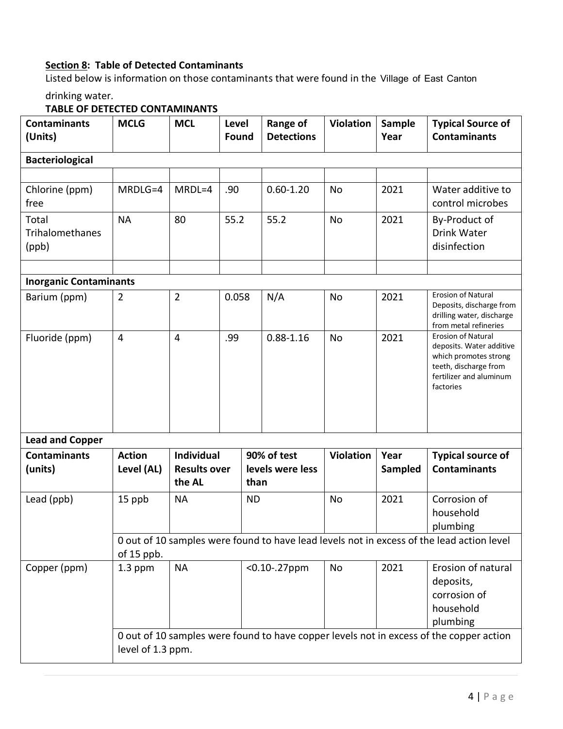# **Section 8: Table of Detected Contaminants**

Listed below is information on those contaminants that were found in the Village of East Canton

drinking water.

# **TABLE OF DETECTED CONTAMINANTS**

| <b>Contaminants</b><br>(Units)    | <b>MCLG</b>                                                                                               | <b>MCL</b>                                                                                                   | Level<br>Found |                          | <b>Range of</b><br><b>Detections</b> | <b>Violation</b> | Sample<br>Year | <b>Typical Source of</b><br><b>Contaminants</b>                                                                                                 |  |
|-----------------------------------|-----------------------------------------------------------------------------------------------------------|--------------------------------------------------------------------------------------------------------------|----------------|--------------------------|--------------------------------------|------------------|----------------|-------------------------------------------------------------------------------------------------------------------------------------------------|--|
| <b>Bacteriological</b>            |                                                                                                           |                                                                                                              |                |                          |                                      |                  |                |                                                                                                                                                 |  |
|                                   |                                                                                                           |                                                                                                              |                |                          |                                      |                  |                |                                                                                                                                                 |  |
| Chlorine (ppm)<br>free            | MRDLG=4                                                                                                   | MRDL=4                                                                                                       | .90            |                          | $0.60 - 1.20$                        | No               | 2021           | Water additive to<br>control microbes                                                                                                           |  |
| Total<br>Trihalomethanes<br>(ppb) | <b>NA</b>                                                                                                 | 80                                                                                                           | 55.2           |                          | 55.2                                 | <b>No</b>        | 2021           | By-Product of<br>Drink Water<br>disinfection                                                                                                    |  |
| <b>Inorganic Contaminants</b>     |                                                                                                           |                                                                                                              |                |                          |                                      |                  |                |                                                                                                                                                 |  |
| Barium (ppm)                      | $\overline{2}$                                                                                            | $\overline{2}$                                                                                               | 0.058          |                          | N/A                                  | <b>No</b>        | 2021           | Erosion of Natural<br>Deposits, discharge from<br>drilling water, discharge<br>from metal refineries                                            |  |
| Fluoride (ppm)                    | $\overline{4}$                                                                                            | $\overline{4}$                                                                                               | .99            |                          | $0.88 - 1.16$                        | No               | 2021           | <b>Erosion of Natural</b><br>deposits. Water additive<br>which promotes strong<br>teeth, discharge from<br>fertilizer and aluminum<br>factories |  |
| <b>Lead and Copper</b>            |                                                                                                           |                                                                                                              |                |                          |                                      |                  |                |                                                                                                                                                 |  |
| <b>Contaminants</b>               | <b>Action</b>                                                                                             | <b>Individual</b>                                                                                            |                | 90% of test              |                                      | <b>Violation</b> | Year           | <b>Typical source of</b>                                                                                                                        |  |
| (units)                           | Level (AL)                                                                                                | <b>Results over</b><br>the AL                                                                                |                | levels were less<br>than |                                      |                  | Sampled        | <b>Contaminants</b>                                                                                                                             |  |
| Lead (ppb)<br>15 ppb              |                                                                                                           | <b>NA</b>                                                                                                    |                | <b>ND</b>                |                                      | No               | 2021           | Corrosion of<br>household<br>plumbing                                                                                                           |  |
|                                   | 0 out of 10 samples were found to have lead levels not in excess of the lead action level<br>of $15$ ppb. |                                                                                                              |                |                          |                                      |                  |                |                                                                                                                                                 |  |
| Copper (ppm)                      | 1.3 ppm<br><b>NA</b>                                                                                      |                                                                                                              |                | $< 0.10 - .27$ ppm       |                                      | No               | 2021           | Erosion of natural<br>deposits,<br>corrosion of<br>household<br>plumbing                                                                        |  |
|                                   |                                                                                                           | 0 out of 10 samples were found to have copper levels not in excess of the copper action<br>level of 1.3 ppm. |                |                          |                                      |                  |                |                                                                                                                                                 |  |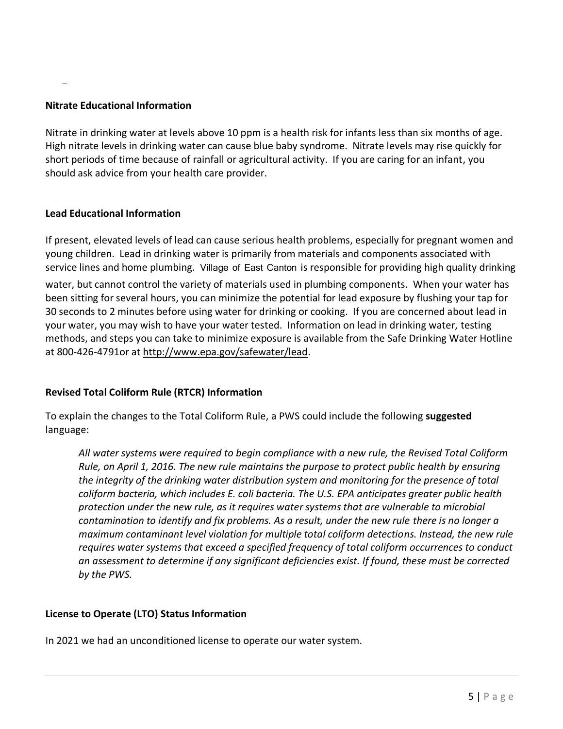# **Nitrate Educational Information**

Nitrate in drinking water at levels above 10 ppm is a health risk for infants less than six months of age. High nitrate levels in drinking water can cause blue baby syndrome. Nitrate levels may rise quickly for short periods of time because of rainfall or agricultural activity. If you are caring for an infant, you should ask advice from your health care provider.

### **Lead Educational Information**

If present, elevated levels of lead can cause serious health problems, especially for pregnant women and young children. Lead in drinking water is primarily from materials and components associated with service lines and home plumbing. Village of East Canton is responsible for providing high quality drinking

water, but cannot control the variety of materials used in plumbing components. When your water has been sitting for several hours, you can minimize the potential for lead exposure by flushing your tap for 30 seconds to 2 minutes before using water for drinking or cooking. If you are concerned about lead in your water, you may wish to have your water tested. Information on lead in drinking water, testing methods, and steps you can take to minimize exposure is available from the Safe Drinking Water Hotline at 800-426-4791or at [http://www.epa.gov/safewater/lead.](http://www.epa.gov/safewater/lead)

# **Revised Total Coliform Rule (RTCR) Information**

To explain the changes to the Total Coliform Rule, a PWS could include the following **suggested** language:

*All water systems were required to begin compliance with a new rule, the Revised Total Coliform Rule, on April 1, 2016. The new rule maintains the purpose to protect public health by ensuring the integrity of the drinking water distribution system and monitoring for the presence of total coliform bacteria, which includes E. coli bacteria. The U.S. EPA anticipates greater public health protection under the new rule, as it requires water systems that are vulnerable to microbial contamination to identify and fix problems. As a result, under the new rule there is no longer a maximum contaminant level violation for multiple total coliform detections. Instead, the new rule requires water systems that exceed a specified frequency of total coliform occurrences to conduct an assessment to determine if any significant deficiencies exist. If found, these must be corrected by the PWS.*

### **License to Operate (LTO) Status Information**

In 2021 we had an unconditioned license to operate our water system.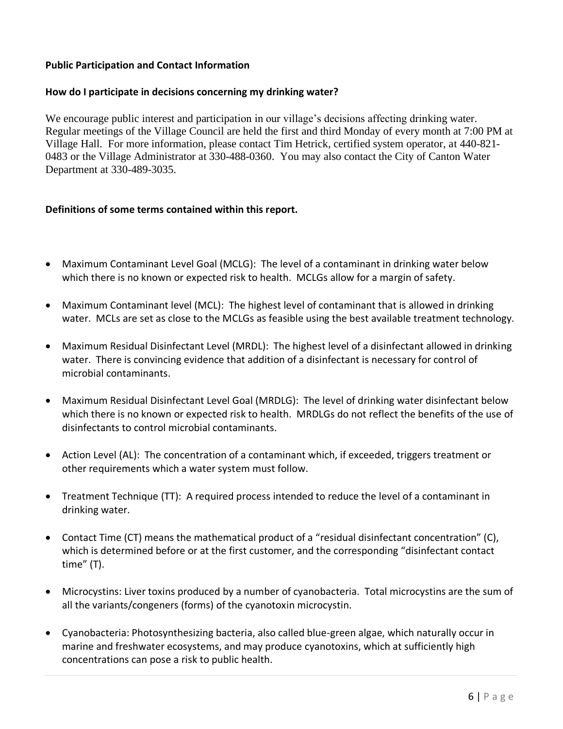### **Public Participation and Contact Information**

### **How do I participate in decisions concerning my drinking water?**

We encourage public interest and participation in our village's decisions affecting drinking water. Regular meetings of the Village Council are held the first and third Monday of every month at 7:00 PM at Village Hall. For more information, please contact Tim Hetrick, certified system operator, at 440-821- 0483 or the Village Administrator at 330-488-0360. You may also contact the City of Canton Water Department at 330-489-3035.

### **Definitions of some terms contained within this report.**

- Maximum Contaminant Level Goal (MCLG): The level of a contaminant in drinking water below which there is no known or expected risk to health. MCLGs allow for a margin of safety.
- Maximum Contaminant level (MCL): The highest level of contaminant that is allowed in drinking water. MCLs are set as close to the MCLGs as feasible using the best available treatment technology.
- Maximum Residual Disinfectant Level (MRDL): The highest level of a disinfectant allowed in drinking water. There is convincing evidence that addition of a disinfectant is necessary for control of microbial contaminants.
- Maximum Residual Disinfectant Level Goal (MRDLG): The level of drinking water disinfectant below which there is no known or expected risk to health. MRDLGs do not reflect the benefits of the use of disinfectants to control microbial contaminants.
- Action Level (AL): The concentration of a contaminant which, if exceeded, triggers treatment or other requirements which a water system must follow.
- Treatment Technique (TT): A required process intended to reduce the level of a contaminant in drinking water.
- Contact Time (CT) means the mathematical product of a "residual disinfectant concentration" (C), which is determined before or at the first customer, and the corresponding "disinfectant contact time" (T).
- Microcystins: Liver toxins produced by a number of cyanobacteria. Total microcystins are the sum of all the variants/congeners (forms) of the cyanotoxin microcystin.
- Cyanobacteria: Photosynthesizing bacteria, also called blue-green algae, which naturally occur in marine and freshwater ecosystems, and may produce cyanotoxins, which at sufficiently high concentrations can pose a risk to public health.